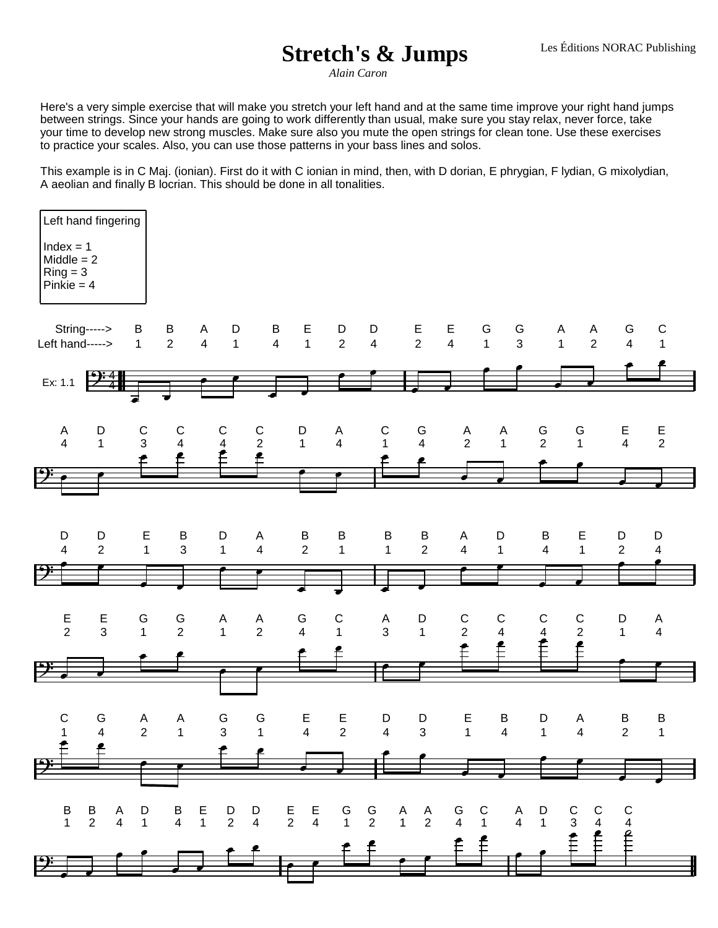## **Stretch's & Jumps**

*Alain Caron*

Here's a very simple exercise that will make you stretch your left hand and at the same time improve your right hand jumps between strings. Since your hands are going to work differently than usual, make sure you stay relax, never force, take your time to develop new strong muscles. Make sure also you mute the open strings for clean tone. Use these exercises to practice your scales. Also, you can use those patterns in your bass lines and solos.

This example is in C Maj. (ionian). First do it with C ionian in mind, then, with D dorian, E phrygian, F lydian, G mixolydian, A aeolian and finally B locrian. This should be done in all tonalities.

| Left hand fingering<br>$Index = 1$<br>$Middle = 2$<br>$Ring = 3$<br>$Pinkie = 4$ |                                |                               |                                |                                                 |                               |                               |                              |                              |                                                  |                               |                               |                                                         |                                                                                                                                                                                                                                                                                                                                                                                                                                                                                          |                     |                              |
|----------------------------------------------------------------------------------|--------------------------------|-------------------------------|--------------------------------|-------------------------------------------------|-------------------------------|-------------------------------|------------------------------|------------------------------|--------------------------------------------------|-------------------------------|-------------------------------|---------------------------------------------------------|------------------------------------------------------------------------------------------------------------------------------------------------------------------------------------------------------------------------------------------------------------------------------------------------------------------------------------------------------------------------------------------------------------------------------------------------------------------------------------------|---------------------|------------------------------|
| Left hand----->                                                                  | String----->                   | B<br>$\mathbf 1$              | $\frac{B}{2}$                  | A<br>D<br>$\overline{4}$<br>$\overline{1}$      | $\frac{B}{4}$                 | $E$ <sub>1</sub>              | $\frac{D}{2}$                | D<br>$\overline{\mathbf{4}}$ | $\frac{E}{2}$                                    | $rac{E}{4}$                   | $rac{G}{1}$<br>$rac{G}{3}$    | A<br>$\mathbf{1}$                                       | A<br>$\overline{2}$                                                                                                                                                                                                                                                                                                                                                                                                                                                                      | G<br>$\overline{4}$ | $\frac{C}{1}$                |
| Ex: 1.1                                                                          | $\frac{9.4}{4}$                |                               |                                |                                                 |                               |                               |                              |                              |                                                  |                               |                               |                                                         |                                                                                                                                                                                                                                                                                                                                                                                                                                                                                          |                     |                              |
| A<br>$\overline{4}$                                                              | D<br>$\mathbf{1}$              | $\mathsf C$<br>$\mathfrak{S}$ | $\mathsf{C}$<br>$\overline{4}$ | $\mathsf{C}$<br>$\overline{\mathbf{4}}$<br>Ê    | $\frac{C}{2}$<br>$\mathbf{f}$ | $\overline{1}$                | $\frac{A}{4}$                | $\mathsf C$<br>$\mathbf{1}$  | G<br>4                                           | $\frac{A}{2}$                 | A<br>$\mathbf{1}$             | $rac{G}{2}$                                             | G<br>$\mathbf{1}$                                                                                                                                                                                                                                                                                                                                                                                                                                                                        | $rac{E}{4}$         | $\frac{E}{2}$                |
|                                                                                  |                                |                               |                                |                                                 |                               |                               |                              |                              |                                                  |                               |                               |                                                         |                                                                                                                                                                                                                                                                                                                                                                                                                                                                                          |                     |                              |
| D<br>$\overline{4}$                                                              | D<br>$\overline{2}$            | E<br>$\mathbf{1}$             | B<br>3                         | D<br>$\mathbf{1}$                               | A<br>4                        | B<br>$\overline{2}$           | $\sf B$<br>$\mathbf{1}$      | B<br>$\mathbf{1}$            | $\frac{B}{2}$                                    | A<br>$\overline{4}$           | D<br>$\mathbf{1}$             | B<br>$\overline{4}$                                     | E<br>$\mathbf{1}$                                                                                                                                                                                                                                                                                                                                                                                                                                                                        | D<br>$\overline{2}$ | D<br>$\overline{\mathbf{4}}$ |
|                                                                                  |                                |                               |                                |                                                 |                               |                               |                              |                              |                                                  |                               |                               |                                                         |                                                                                                                                                                                                                                                                                                                                                                                                                                                                                          |                     |                              |
| $\frac{E}{2}$                                                                    | E<br>$\mathbf{3}$              | G<br>$\mathbf{1}$             | $rac{G}{2}$                    | $A$ <sub>1</sub>                                | $\frac{A}{2}$                 | $rac{G}{4}$                   | $\mathsf{C}$<br>$\mathbf{1}$ | $\frac{A}{3}$                | $\overline{1}$                                   | $\frac{C}{2}$<br>$\mathbf{f}$ | $\frac{C}{4}$<br>$\mathbf{f}$ | $\mathsf{C}$<br>$\overline{\mathbf{4}}$<br>$\mathbf{f}$ | $\frac{{\mathsf C}}{2}$<br>$\mathbf{f}$                                                                                                                                                                                                                                                                                                                                                                                                                                                  | $\overline{1}$      | $\frac{A}{4}$                |
|                                                                                  |                                |                               |                                |                                                 |                               |                               |                              |                              |                                                  |                               |                               |                                                         |                                                                                                                                                                                                                                                                                                                                                                                                                                                                                          |                     |                              |
| ${\bf C}$                                                                        | G<br>4                         | A<br>$\overline{2}$           | A<br>$\overline{1}$            | G<br>$\mathbf{3}$                               | G<br>$\overline{\phantom{1}}$ | $\mathsf E$<br>$\overline{4}$ | E<br>$\overline{2}$          | D<br>$\overline{4}$          | D<br>$\overline{\mathbf{3}}$                     | E<br>1                        | $\sf B$<br>$\overline{4}$     | D<br>$\overline{1}$                                     | A<br>$\overline{4}$                                                                                                                                                                                                                                                                                                                                                                                                                                                                      | B<br>$2 \qquad 1$   | $\sf B$                      |
|                                                                                  |                                |                               |                                |                                                 |                               |                               |                              |                              |                                                  |                               |                               |                                                         |                                                                                                                                                                                                                                                                                                                                                                                                                                                                                          |                     |                              |
| $rac{B}{1}$                                                                      | $\frac{B}{2}$<br>$\frac{A}{4}$ | $\overline{1}$                | B E<br>4 1                     | $\begin{array}{ccc} D & D \\ 2 & 4 \end{array}$ |                               | $E$ $E$<br>2 4                | G G<br>1 2<br>f f            |                              | $\begin{matrix} & A & A \\ & 1 & 2 \end{matrix}$ | G C<br>4 1<br>f f             | $\frac{A}{4}$                 | $\begin{matrix} 1 \ 1 \end{matrix}$                     | $rac{1}{\sqrt{1+\frac{1}{\sqrt{1+\frac{1}{\sqrt{1+\frac{1}{\sqrt{1+\frac{1}{\sqrt{1+\frac{1}{\sqrt{1+\frac{1}{\sqrt{1+\frac{1}{\sqrt{1+\frac{1}{\sqrt{1+\frac{1}{\sqrt{1+\frac{1}{\sqrt{1+\frac{1}{\sqrt{1+\frac{1}{\sqrt{1+\frac{1}{\sqrt{1+\frac{1}{\sqrt{1+\frac{1}{\sqrt{1+\frac{1}{\sqrt{1+\frac{1}{\sqrt{1+\frac{1}{\sqrt{1+\frac{1}{\sqrt{1+\frac{1}{\sqrt{1+\frac{1}{\sqrt{1+\frac{1}{\sqrt{1+\frac{1}{\sqrt{1+\frac{1}{$<br>$\begin{array}{c}\nC \\ 3 \\ \uparrow\n\end{array}$ | $\frac{1}{1}$       |                              |
| $\mathbf{\mathcal{P}}$                                                           |                                |                               |                                |                                                 |                               |                               |                              |                              |                                                  |                               |                               |                                                         |                                                                                                                                                                                                                                                                                                                                                                                                                                                                                          |                     |                              |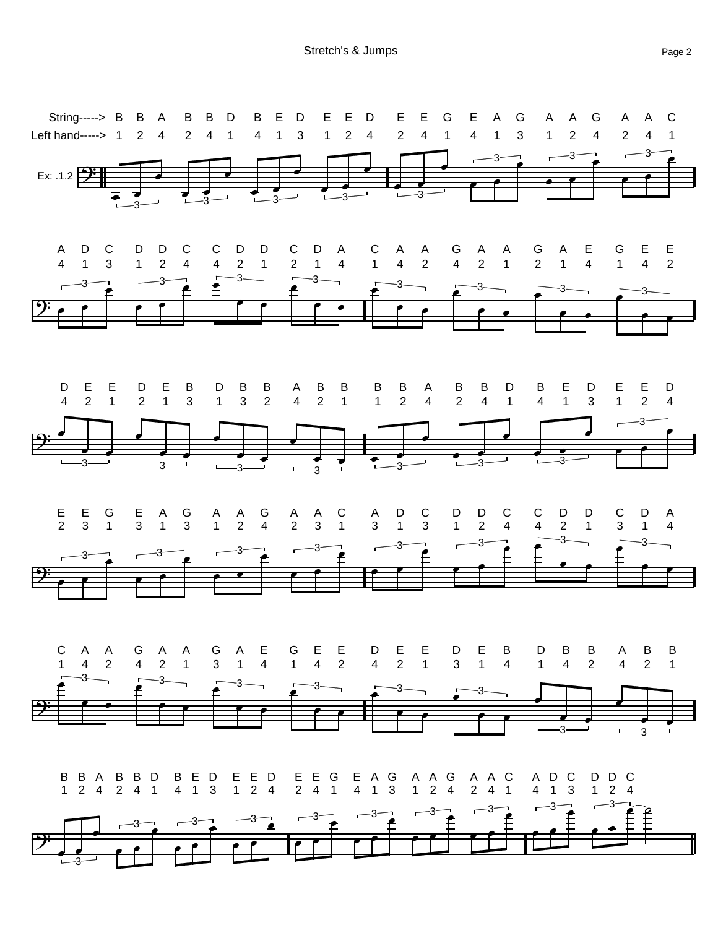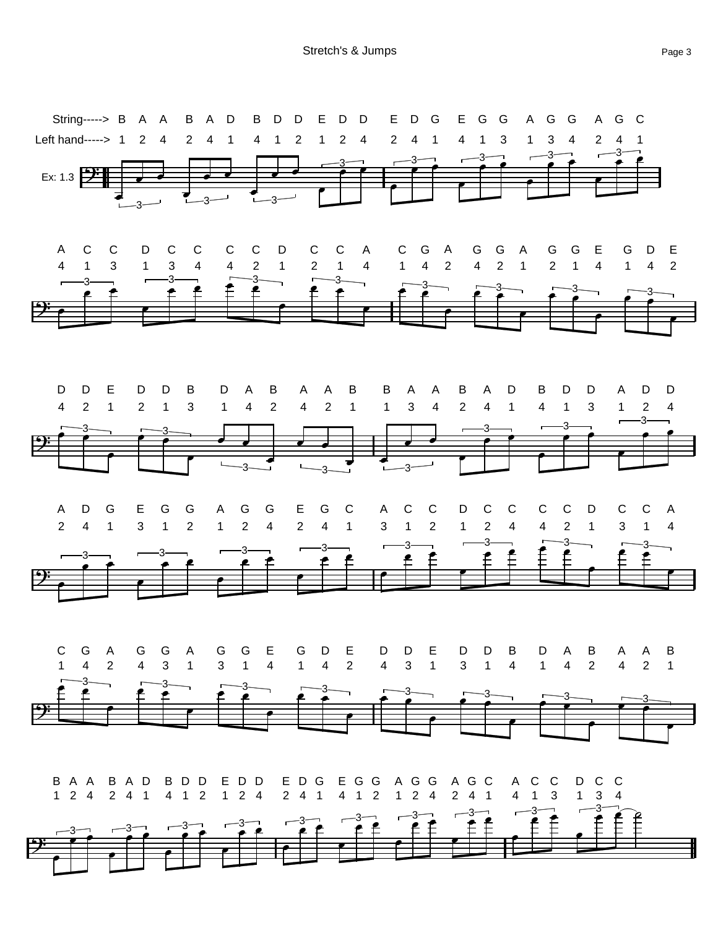